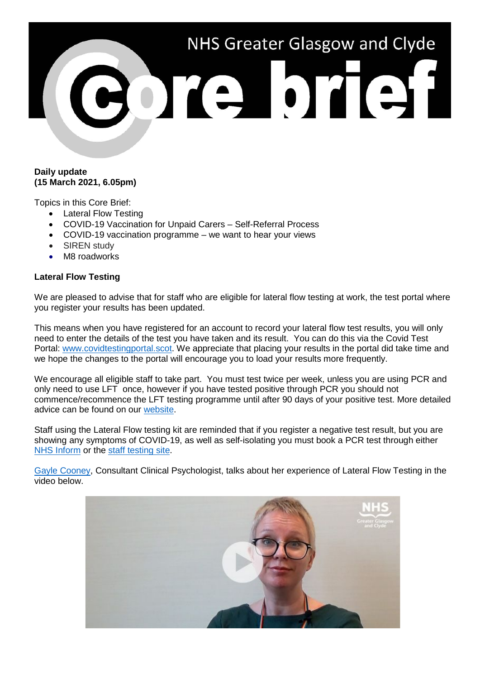

## **Daily update (15 March 2021, 6.05pm)**

Topics in this Core Brief:

- Lateral Flow Testing
- COVID-19 Vaccination for Unpaid Carers Self-Referral Process
- COVID-19 vaccination programme we want to hear your views
- SIREN study
- M8 roadworks

# **Lateral Flow Testing**

We are pleased to advise that for staff who are eligible for lateral flow testing at work, the test portal where you register your results has been updated.

This means when you have registered for an account to record your lateral flow test results, you will only need to enter the details of the test you have taken and its result. You can do this via the Covid Test Portal: [www.covidtestingportal.scot.](http://www.covidtestingportal.scot/) We appreciate that placing your results in the portal did take time and we hope the changes to the portal will encourage you to load your results more frequently.

We encourage all eligible staff to take part. You must test twice per week, unless you are using PCR and only need to use LFT once, however if you have tested positive through PCR you should not commence/recommence the LFT testing programme until after 90 days of your positive test. More detailed advice can be found on our [website.](https://www.nhsggc.org.uk/your-health/health-issues/covid-19-coronavirus/for-nhsggc-staff/lateral-flow-device-testing-guidance/)

Staff using the Lateral Flow testing kit are reminded that if you register a negative test result, but you are showing any symptoms of COVID-19, as well as self-isolating you must book a PCR test through either [NHS Inform](https://www.nhsinform.scot/illnesses-and-conditions/infections-and-poisoning/coronavirus-covid-19/test-and-protect/coronavirus-covid-19-testing) or the [staff testing site.](https://www.nhsggc.org.uk/your-health/health-issues/covid-19-coronavirus/for-nhsggc-staff/testing-for-staff-and-their-household-contacts/)

[Gayle Cooney,](https://www.youtube.com/watch?v=w8t5zFzIffY) Consultant Clinical Psychologist, talks about her experience of Lateral Flow Testing in the video below.

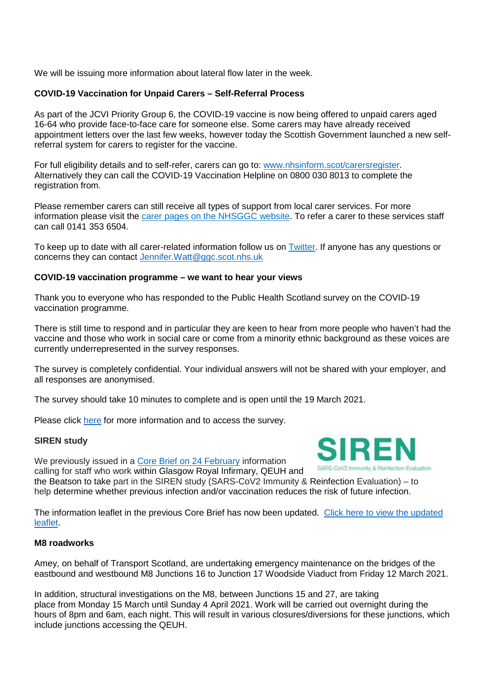We will be issuing more information about lateral flow later in the week.

# **COVID-19 Vaccination for Unpaid Carers – Self-Referral Process**

As part of the JCVI Priority Group 6, the COVID-19 vaccine is now being offered to unpaid carers aged 16-64 who provide face-to-face care for someone else. Some carers may have already received appointment letters over the last few weeks, however today the Scottish Government launched a new selfreferral system for carers to register for the vaccine.

For full eligibility details and to self-refer, carers can go to: [www.nhsinform.scot/carersregister.](http://www.nhsinform.scot/carersregister) Alternatively they can call the COVID-19 Vaccination Helpline on 0800 030 8013 to complete the registration from.

Please remember carers can still receive all types of support from local carer services. For more information please visit the [carer pages on the NHSGGC website.](http://www.nhsggc.org.uk/carers) To refer a carer to these services staff can call 0141 353 6504.

To keep up to date with all carer-related information follow us on [Twitter.](https://twitter.com/nhsggccarers) If anyone has any questions or concerns they can contact [Jennifer.Watt@ggc.scot.nhs.uk](mailto:Jennifer.Watt@ggc.scot.nhs.uk)

## **COVID-19 vaccination programme – we want to hear your views**

Thank you to everyone who has responded to the Public Health Scotland survey on the COVID-19 vaccination programme.

There is still time to respond and in particular they are keen to hear from more people who haven't had the vaccine and those who work in social care or come from a minority ethnic background as these voices are currently underrepresented in the survey responses.

The survey is completely confidential. Your individual answers will not be shared with your employer, and all responses are anonymised.

The survey should take 10 minutes to complete and is open until the 19 March 2021.

Please click [here](https://surveys.publichealthscotland.scot/index.php/967131/lang-en) for more information and to access the survey.

## **SIREN study**

We previously issued in a Core Brief on 24 [February](https://www.nhsggc.org.uk/media/265549/038-core-brief-24-february-2021-daily-update-610pm.pdf) information calling for staff who work within Glasgow Royal Infirmary, QEUH and



the Beatson to take part in the SIREN study (SARS-CoV2 Immunity & Reinfection Evaluation) – to help determine whether previous infection and/or vaccination reduces the risk of future infection.

The information leaflet in the previous Core Brief has now been [updated](https://www.nhsggc.org.uk/media/265842/siren-poster-v22_scotland-updated.docx). Click here to view the updated [leaflet.](https://www.nhsggc.org.uk/media/265842/siren-poster-v22_scotland-updated.docx)

## **M8 roadworks**

Amey, on behalf of Transport Scotland, are undertaking emergency maintenance on the bridges of the eastbound and westbound M8 Junctions 16 to Junction 17 Woodside Viaduct from Friday 12 March 2021.

In addition, structural investigations on the M8, between Junctions 15 and 27, are taking place from Monday 15 March until Sunday 4 April 2021. Work will be carried out overnight during the hours of 8pm and 6am, each night. This will result in various closures/diversions for these junctions, which include junctions accessing the QEUH.